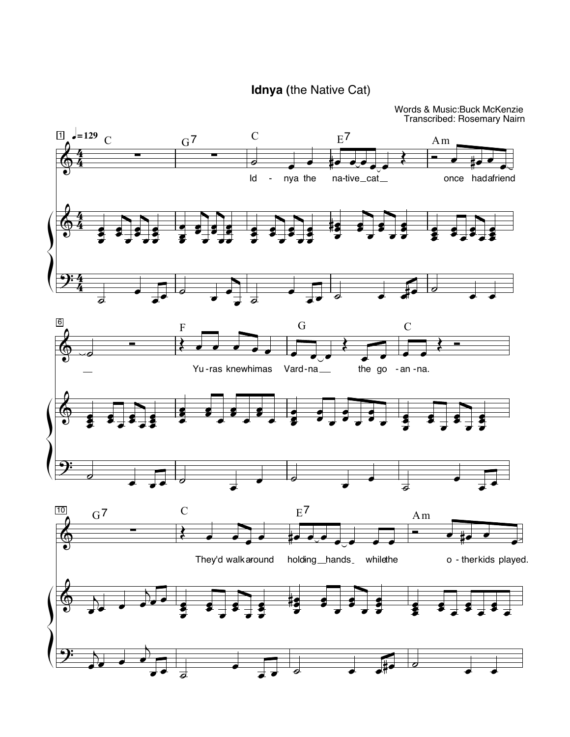Idnya (the Native Cat)

Words & Music: Buck McKenzie Transcribed: Rosemary Nairn

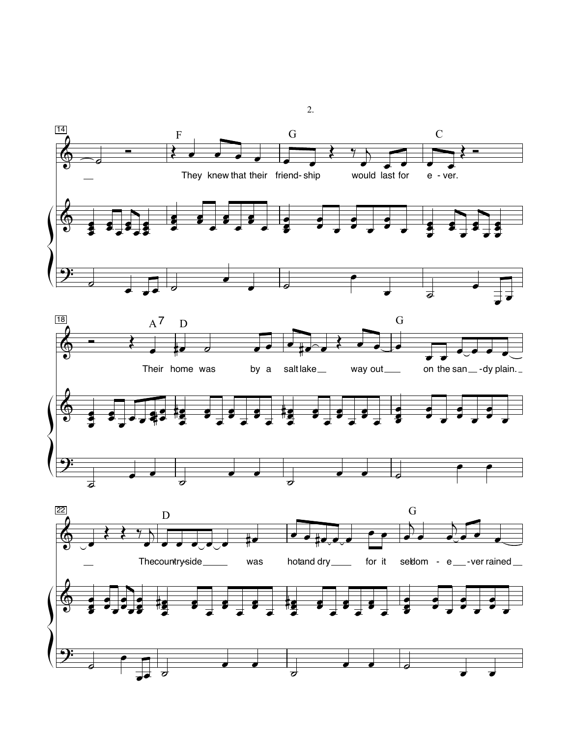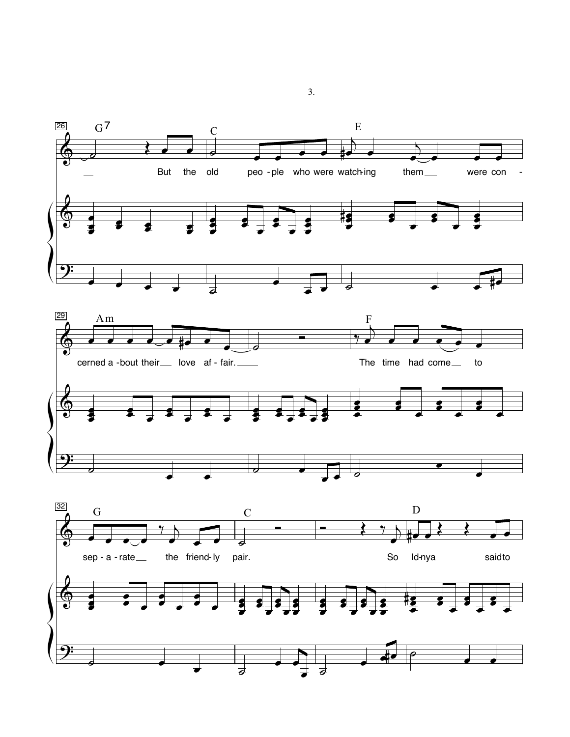

 $3.$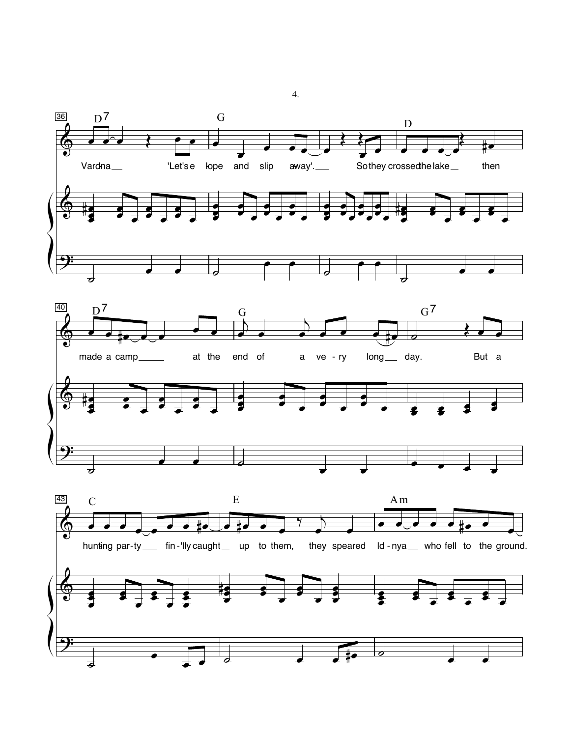

 $\overline{4}$ .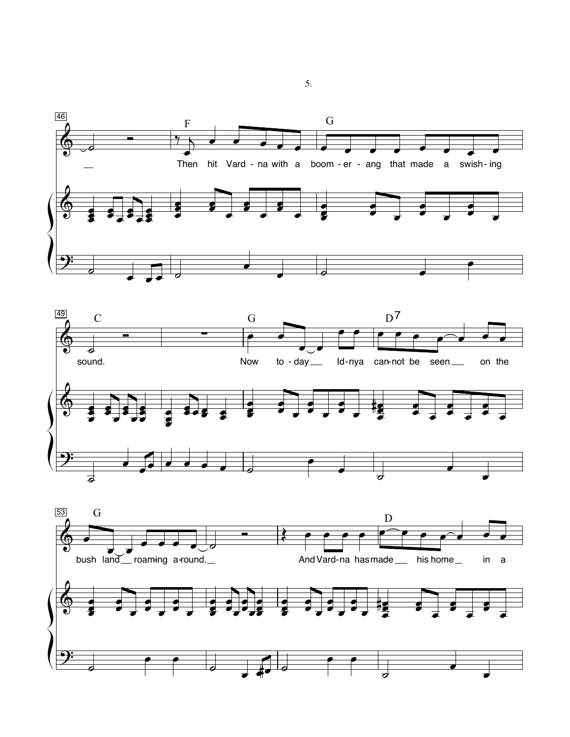





5.